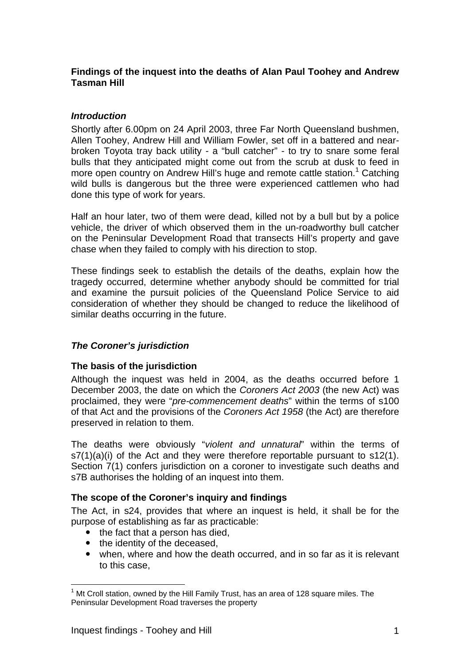## **Findings of the inquest into the deaths of Alan Paul Toohey and Andrew Tasman Hill**

## *Introduction*

Shortly after 6.00pm on 24 April 2003, three Far North Queensland bushmen, Allen Toohey, Andrew Hill and William Fowler, set off in a battered and nearbroken Toyota tray back utility - a "bull catcher" - to try to snare some feral bulls that they anticipated might come out from the scrub at dusk to feed in more open country on Andrew Hill's huge and remote cattle station.<sup>1</sup> Catching wild bulls is dangerous but the three were experienced cattlemen who had done this type of work for years.

Half an hour later, two of them were dead, killed not by a bull but by a police vehicle, the driver of which observed them in the un-roadworthy bull catcher on the Peninsular Development Road that transects Hill's property and gave chase when they failed to comply with his direction to stop.

These findings seek to establish the details of the deaths, explain how the tragedy occurred, determine whether anybody should be committed for trial and examine the pursuit policies of the Queensland Police Service to aid consideration of whether they should be changed to reduce the likelihood of similar deaths occurring in the future.

# *The Coroner's jurisdiction*

# **The basis of the jurisdiction**

Although the inquest was held in 2004, as the deaths occurred before 1 December 2003, the date on which the *Coroners Act 2003* (the new Act) was proclaimed, they were "*pre-commencement deaths*" within the terms of s100 of that Act and the provisions of the *Coroners Act 1958* (the Act) are therefore preserved in relation to them.

The deaths were obviously "*violent and unnatural*" within the terms of s7(1)(a)(i) of the Act and they were therefore reportable pursuant to s12(1). Section 7(1) confers jurisdiction on a coroner to investigate such deaths and s7B authorises the holding of an inquest into them.

### **The scope of the Coroner's inquiry and findings**

The Act, in s24, provides that where an inquest is held, it shall be for the purpose of establishing as far as practicable:

- $\bullet$  the fact that a person has died,
- the identity of the deceased.
- when, where and how the death occurred, and in so far as it is relevant to this case,

 $\overline{a}$  $1$  Mt Croll station, owned by the Hill Family Trust, has an area of 128 square miles. The Peninsular Development Road traverses the property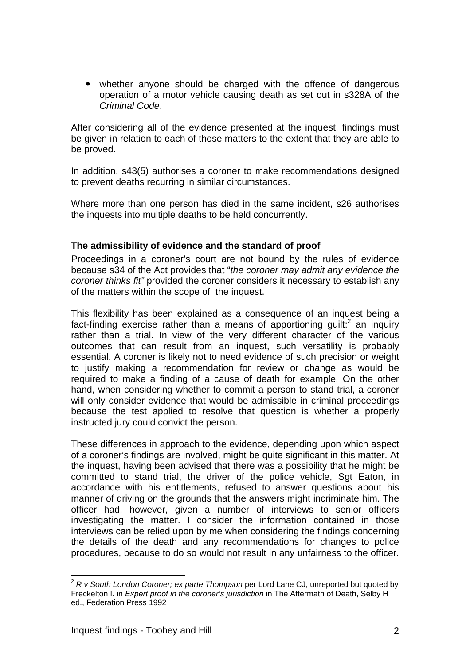• whether anyone should be charged with the offence of dangerous operation of a motor vehicle causing death as set out in s328A of the *Criminal Code*.

After considering all of the evidence presented at the inquest, findings must be given in relation to each of those matters to the extent that they are able to be proved.

In addition, s43(5) authorises a coroner to make recommendations designed to prevent deaths recurring in similar circumstances.

Where more than one person has died in the same incident, s26 authorises the inquests into multiple deaths to be held concurrently.

### **The admissibility of evidence and the standard of proof**

Proceedings in a coroner's court are not bound by the rules of evidence because s34 of the Act provides that "*the coroner may admit any evidence the coroner thinks fit"* provided the coroner considers it necessary to establish any of the matters within the scope of the inquest.

This flexibility has been explained as a consequence of an inquest being a fact-finding exercise rather than a means of apportioning guilt:<sup>2</sup> an inquiry rather than a trial. In view of the very different character of the various outcomes that can result from an inquest, such versatility is probably essential. A coroner is likely not to need evidence of such precision or weight to justify making a recommendation for review or change as would be required to make a finding of a cause of death for example. On the other hand, when considering whether to commit a person to stand trial, a coroner will only consider evidence that would be admissible in criminal proceedings because the test applied to resolve that question is whether a properly instructed jury could convict the person.

These differences in approach to the evidence, depending upon which aspect of a coroner's findings are involved, might be quite significant in this matter. At the inquest, having been advised that there was a possibility that he might be committed to stand trial, the driver of the police vehicle, Sgt Eaton, in accordance with his entitlements, refused to answer questions about his manner of driving on the grounds that the answers might incriminate him. The officer had, however, given a number of interviews to senior officers investigating the matter. I consider the information contained in those interviews can be relied upon by me when considering the findings concerning the details of the death and any recommendations for changes to police procedures, because to do so would not result in any unfairness to the officer.

 $\overline{a}$ <sup>2</sup> *R v South London Coroner; ex parte Thompson* per Lord Lane CJ, unreported but quoted by Freckelton I. in *Expert proof in the coroner's jurisdiction* in The Aftermath of Death, Selby H ed., Federation Press 1992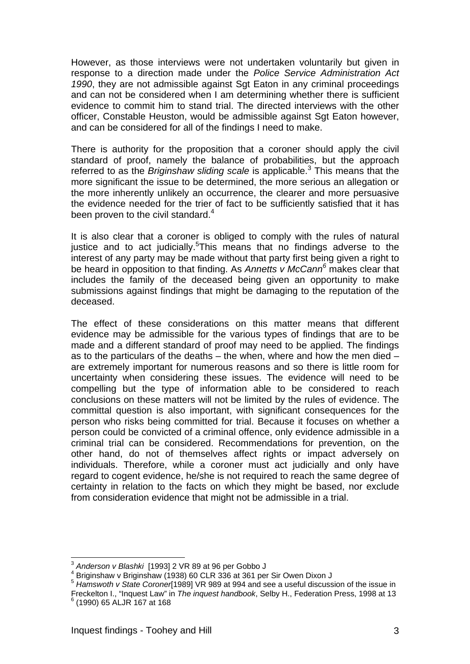However, as those interviews were not undertaken voluntarily but given in response to a direction made under the *Police Service Administration Act 1990*, they are not admissible against Sgt Eaton in any criminal proceedings and can not be considered when I am determining whether there is sufficient evidence to commit him to stand trial. The directed interviews with the other officer, Constable Heuston, would be admissible against Sgt Eaton however, and can be considered for all of the findings I need to make.

There is authority for the proposition that a coroner should apply the civil standard of proof, namely the balance of probabilities, but the approach referred to as the *Briginshaw sliding scale* is applicable.<sup>3</sup> This means that the more significant the issue to be determined, the more serious an allegation or the more inherently unlikely an occurrence, the clearer and more persuasive the evidence needed for the trier of fact to be sufficiently satisfied that it has been proven to the civil standard.<sup>4</sup>

It is also clear that a coroner is obliged to comply with the rules of natural justice and to act judicially.<sup>5</sup> This means that no findings adverse to the interest of any party may be made without that party first being given a right to be heard in opposition to that finding. As *Annetts v McCann<sup>6</sup>* makes clear that includes the family of the deceased being given an opportunity to make submissions against findings that might be damaging to the reputation of the deceased.

The effect of these considerations on this matter means that different evidence may be admissible for the various types of findings that are to be made and a different standard of proof may need to be applied. The findings as to the particulars of the deaths  $-$  the when, where and how the men died  $$ are extremely important for numerous reasons and so there is little room for uncertainty when considering these issues. The evidence will need to be compelling but the type of information able to be considered to reach conclusions on these matters will not be limited by the rules of evidence. The committal question is also important, with significant consequences for the person who risks being committed for trial. Because it focuses on whether a person could be convicted of a criminal offence, only evidence admissible in a criminal trial can be considered. Recommendations for prevention, on the other hand, do not of themselves affect rights or impact adversely on individuals. Therefore, while a coroner must act judicially and only have regard to cogent evidence, he/she is not required to reach the same degree of certainty in relation to the facts on which they might be based, nor exclude from consideration evidence that might not be admissible in a trial.

 $\overline{a}$ <sup>3</sup> *Anderson v Blashki* [1993] 2 VR 89 at 96 per Gobbo J 4

Briginshaw v Briginshaw (1938) 60 CLR 336 at 361 per Sir Owen Dixon J

<sup>&</sup>lt;sup>5</sup> Hamswoth v State Coroner<sup>1989</sup> VR 989 at 994 and see a useful discussion of the issue in Freckelton I., "Inquest Law" in *The inquest handbook*, Selby H., Federation Press, 1998 at 13 6

 $<sup>6</sup>$  (1990) 65 ALJR 167 at 168</sup>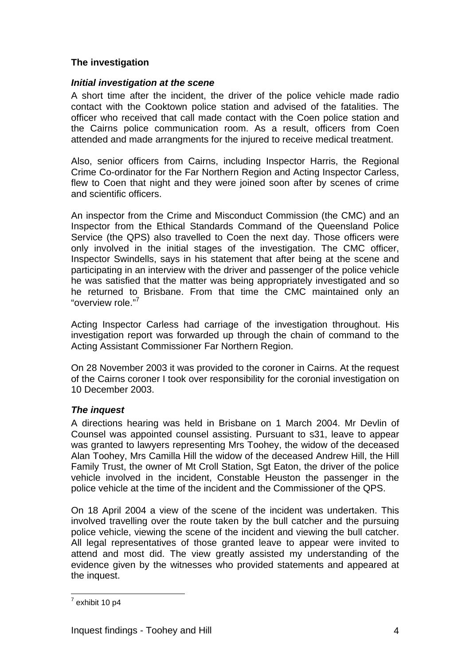# **The investigation**

## *Initial investigation at the scene*

A short time after the incident, the driver of the police vehicle made radio contact with the Cooktown police station and advised of the fatalities. The officer who received that call made contact with the Coen police station and the Cairns police communication room. As a result, officers from Coen attended and made arrangments for the injured to receive medical treatment.

Also, senior officers from Cairns, including Inspector Harris, the Regional Crime Co-ordinator for the Far Northern Region and Acting Inspector Carless, flew to Coen that night and they were joined soon after by scenes of crime and scientific officers.

An inspector from the Crime and Misconduct Commission (the CMC) and an Inspector from the Ethical Standards Command of the Queensland Police Service (the QPS) also travelled to Coen the next day. Those officers were only involved in the initial stages of the investigation. The CMC officer, Inspector Swindells, says in his statement that after being at the scene and participating in an interview with the driver and passenger of the police vehicle he was satisfied that the matter was being appropriately investigated and so he returned to Brisbane. From that time the CMC maintained only an "overview role."<sup>7</sup>

Acting Inspector Carless had carriage of the investigation throughout. His investigation report was forwarded up through the chain of command to the Acting Assistant Commissioner Far Northern Region.

On 28 November 2003 it was provided to the coroner in Cairns. At the request of the Cairns coroner I took over responsibility for the coronial investigation on 10 December 2003.

# *The inquest*

A directions hearing was held in Brisbane on 1 March 2004. Mr Devlin of Counsel was appointed counsel assisting. Pursuant to s31, leave to appear was granted to lawyers representing Mrs Toohey, the widow of the deceased Alan Toohey, Mrs Camilla Hill the widow of the deceased Andrew Hill, the Hill Family Trust, the owner of Mt Croll Station, Sgt Eaton, the driver of the police vehicle involved in the incident, Constable Heuston the passenger in the police vehicle at the time of the incident and the Commissioner of the QPS.

On 18 April 2004 a view of the scene of the incident was undertaken. This involved travelling over the route taken by the bull catcher and the pursuing police vehicle, viewing the scene of the incident and viewing the bull catcher. All legal representatives of those granted leave to appear were invited to attend and most did. The view greatly assisted my understanding of the evidence given by the witnesses who provided statements and appeared at the inquest.

 $\frac{1}{7}$ exhibit 10 p4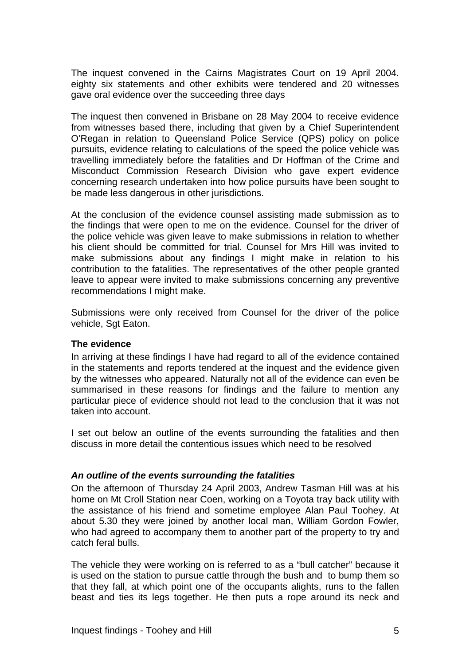The inquest convened in the Cairns Magistrates Court on 19 April 2004. eighty six statements and other exhibits were tendered and 20 witnesses gave oral evidence over the succeeding three days

The inquest then convened in Brisbane on 28 May 2004 to receive evidence from witnesses based there, including that given by a Chief Superintendent O'Regan in relation to Queensland Police Service (QPS) policy on police pursuits, evidence relating to calculations of the speed the police vehicle was travelling immediately before the fatalities and Dr Hoffman of the Crime and Misconduct Commission Research Division who gave expert evidence concerning research undertaken into how police pursuits have been sought to be made less dangerous in other jurisdictions.

At the conclusion of the evidence counsel assisting made submission as to the findings that were open to me on the evidence. Counsel for the driver of the police vehicle was given leave to make submissions in relation to whether his client should be committed for trial. Counsel for Mrs Hill was invited to make submissions about any findings I might make in relation to his contribution to the fatalities. The representatives of the other people granted leave to appear were invited to make submissions concerning any preventive recommendations I might make.

Submissions were only received from Counsel for the driver of the police vehicle, Sgt Eaton.

### **The evidence**

In arriving at these findings I have had regard to all of the evidence contained in the statements and reports tendered at the inquest and the evidence given by the witnesses who appeared. Naturally not all of the evidence can even be summarised in these reasons for findings and the failure to mention any particular piece of evidence should not lead to the conclusion that it was not taken into account.

I set out below an outline of the events surrounding the fatalities and then discuss in more detail the contentious issues which need to be resolved

### *An outline of the events surrounding the fatalities*

On the afternoon of Thursday 24 April 2003, Andrew Tasman Hill was at his home on Mt Croll Station near Coen, working on a Toyota tray back utility with the assistance of his friend and sometime employee Alan Paul Toohey. At about 5.30 they were joined by another local man, William Gordon Fowler, who had agreed to accompany them to another part of the property to try and catch feral bulls.

The vehicle they were working on is referred to as a "bull catcher" because it is used on the station to pursue cattle through the bush and to bump them so that they fall, at which point one of the occupants alights, runs to the fallen beast and ties its legs together. He then puts a rope around its neck and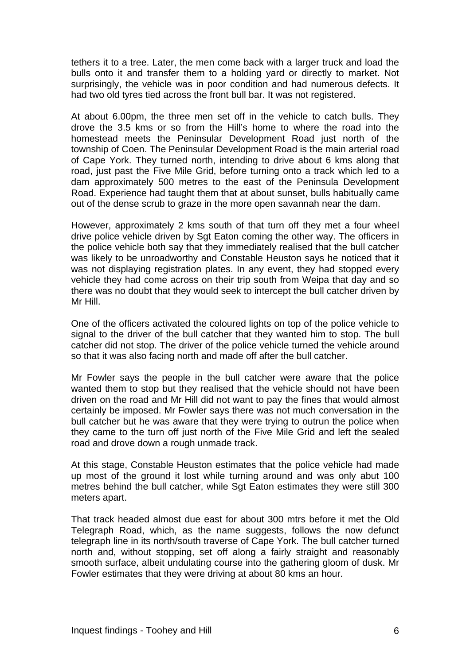tethers it to a tree. Later, the men come back with a larger truck and load the bulls onto it and transfer them to a holding yard or directly to market. Not surprisingly, the vehicle was in poor condition and had numerous defects. It had two old tyres tied across the front bull bar. It was not registered.

At about 6.00pm, the three men set off in the vehicle to catch bulls. They drove the 3.5 kms or so from the Hill's home to where the road into the homestead meets the Peninsular Development Road just north of the township of Coen. The Peninsular Development Road is the main arterial road of Cape York. They turned north, intending to drive about 6 kms along that road, just past the Five Mile Grid, before turning onto a track which led to a dam approximately 500 metres to the east of the Peninsula Development Road. Experience had taught them that at about sunset, bulls habitually came out of the dense scrub to graze in the more open savannah near the dam.

However, approximately 2 kms south of that turn off they met a four wheel drive police vehicle driven by Sgt Eaton coming the other way. The officers in the police vehicle both say that they immediately realised that the bull catcher was likely to be unroadworthy and Constable Heuston says he noticed that it was not displaying registration plates. In any event, they had stopped every vehicle they had come across on their trip south from Weipa that day and so there was no doubt that they would seek to intercept the bull catcher driven by Mr Hill.

One of the officers activated the coloured lights on top of the police vehicle to signal to the driver of the bull catcher that they wanted him to stop. The bull catcher did not stop. The driver of the police vehicle turned the vehicle around so that it was also facing north and made off after the bull catcher.

Mr Fowler says the people in the bull catcher were aware that the police wanted them to stop but they realised that the vehicle should not have been driven on the road and Mr Hill did not want to pay the fines that would almost certainly be imposed. Mr Fowler says there was not much conversation in the bull catcher but he was aware that they were trying to outrun the police when they came to the turn off just north of the Five Mile Grid and left the sealed road and drove down a rough unmade track.

At this stage, Constable Heuston estimates that the police vehicle had made up most of the ground it lost while turning around and was only abut 100 metres behind the bull catcher, while Sgt Eaton estimates they were still 300 meters apart.

That track headed almost due east for about 300 mtrs before it met the Old Telegraph Road, which, as the name suggests, follows the now defunct telegraph line in its north/south traverse of Cape York. The bull catcher turned north and, without stopping, set off along a fairly straight and reasonably smooth surface, albeit undulating course into the gathering gloom of dusk. Mr Fowler estimates that they were driving at about 80 kms an hour.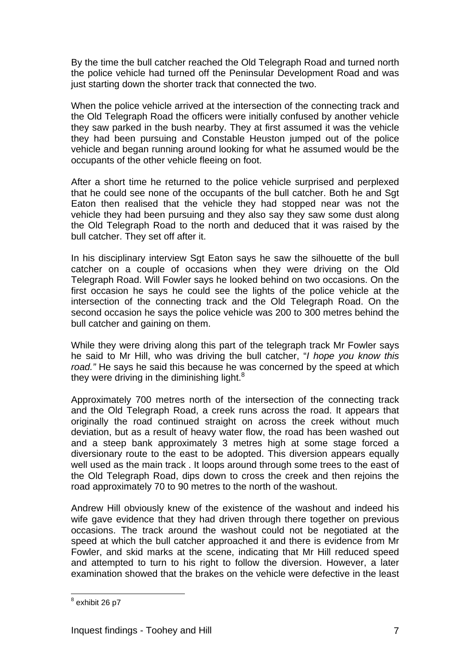By the time the bull catcher reached the Old Telegraph Road and turned north the police vehicle had turned off the Peninsular Development Road and was just starting down the shorter track that connected the two.

When the police vehicle arrived at the intersection of the connecting track and the Old Telegraph Road the officers were initially confused by another vehicle they saw parked in the bush nearby. They at first assumed it was the vehicle they had been pursuing and Constable Heuston jumped out of the police vehicle and began running around looking for what he assumed would be the occupants of the other vehicle fleeing on foot.

After a short time he returned to the police vehicle surprised and perplexed that he could see none of the occupants of the bull catcher. Both he and Sgt Eaton then realised that the vehicle they had stopped near was not the vehicle they had been pursuing and they also say they saw some dust along the Old Telegraph Road to the north and deduced that it was raised by the bull catcher. They set off after it.

In his disciplinary interview Sgt Eaton says he saw the silhouette of the bull catcher on a couple of occasions when they were driving on the Old Telegraph Road. Will Fowler says he looked behind on two occasions. On the first occasion he says he could see the lights of the police vehicle at the intersection of the connecting track and the Old Telegraph Road. On the second occasion he says the police vehicle was 200 to 300 metres behind the bull catcher and gaining on them.

While they were driving along this part of the telegraph track Mr Fowler says he said to Mr Hill, who was driving the bull catcher, "*I hope you know this road."* He says he said this because he was concerned by the speed at which they were driving in the diminishing light.<sup>8</sup>

Approximately 700 metres north of the intersection of the connecting track and the Old Telegraph Road, a creek runs across the road. It appears that originally the road continued straight on across the creek without much deviation, but as a result of heavy water flow, the road has been washed out and a steep bank approximately 3 metres high at some stage forced a diversionary route to the east to be adopted. This diversion appears equally well used as the main track . It loops around through some trees to the east of the Old Telegraph Road, dips down to cross the creek and then rejoins the road approximately 70 to 90 metres to the north of the washout.

Andrew Hill obviously knew of the existence of the washout and indeed his wife gave evidence that they had driven through there together on previous occasions. The track around the washout could not be negotiated at the speed at which the bull catcher approached it and there is evidence from Mr Fowler, and skid marks at the scene, indicating that Mr Hill reduced speed and attempted to turn to his right to follow the diversion. However, a later examination showed that the brakes on the vehicle were defective in the least

 $^8$  exhibit 26 p7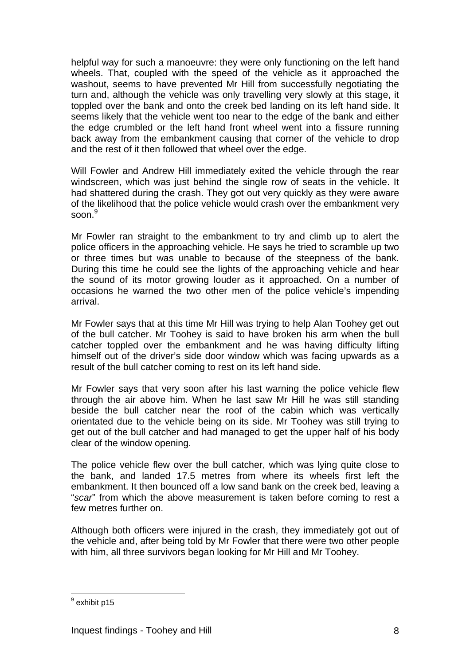helpful way for such a manoeuvre: they were only functioning on the left hand wheels. That, coupled with the speed of the vehicle as it approached the washout, seems to have prevented Mr Hill from successfully negotiating the turn and, although the vehicle was only travelling very slowly at this stage, it toppled over the bank and onto the creek bed landing on its left hand side. It seems likely that the vehicle went too near to the edge of the bank and either the edge crumbled or the left hand front wheel went into a fissure running back away from the embankment causing that corner of the vehicle to drop and the rest of it then followed that wheel over the edge.

Will Fowler and Andrew Hill immediately exited the vehicle through the rear windscreen, which was just behind the single row of seats in the vehicle. It had shattered during the crash. They got out very quickly as they were aware of the likelihood that the police vehicle would crash over the embankment very soon. $^9$ 

Mr Fowler ran straight to the embankment to try and climb up to alert the police officers in the approaching vehicle. He says he tried to scramble up two or three times but was unable to because of the steepness of the bank. During this time he could see the lights of the approaching vehicle and hear the sound of its motor growing louder as it approached. On a number of occasions he warned the two other men of the police vehicle's impending arrival.

Mr Fowler says that at this time Mr Hill was trying to help Alan Toohey get out of the bull catcher. Mr Toohey is said to have broken his arm when the bull catcher toppled over the embankment and he was having difficulty lifting himself out of the driver's side door window which was facing upwards as a result of the bull catcher coming to rest on its left hand side.

Mr Fowler says that very soon after his last warning the police vehicle flew through the air above him. When he last saw Mr Hill he was still standing beside the bull catcher near the roof of the cabin which was vertically orientated due to the vehicle being on its side. Mr Toohey was still trying to get out of the bull catcher and had managed to get the upper half of his body clear of the window opening.

The police vehicle flew over the bull catcher, which was lying quite close to the bank, and landed 17.5 metres from where its wheels first left the embankment. It then bounced off a low sand bank on the creek bed, leaving a "*scar*" from which the above measurement is taken before coming to rest a few metres further on.

Although both officers were injured in the crash, they immediately got out of the vehicle and, after being told by Mr Fowler that there were two other people with him, all three survivors began looking for Mr Hill and Mr Toohey.

 9 exhibit p15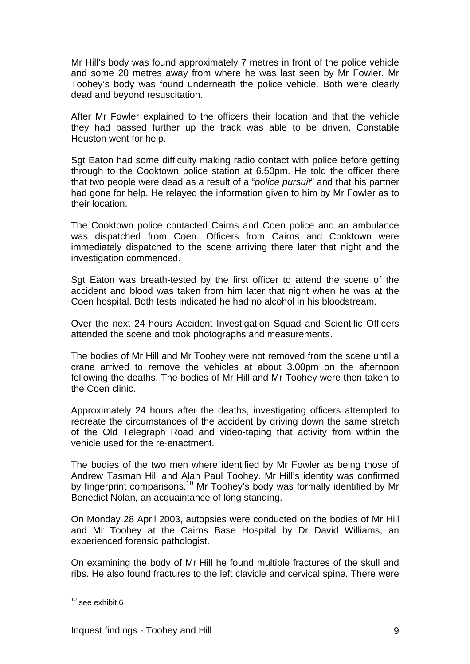Mr Hill's body was found approximately 7 metres in front of the police vehicle and some 20 metres away from where he was last seen by Mr Fowler. Mr Toohey's body was found underneath the police vehicle. Both were clearly dead and beyond resuscitation.

After Mr Fowler explained to the officers their location and that the vehicle they had passed further up the track was able to be driven, Constable Heuston went for help.

Sgt Eaton had some difficulty making radio contact with police before getting through to the Cooktown police station at 6.50pm. He told the officer there that two people were dead as a result of a "*police pursuit*" and that his partner had gone for help. He relayed the information given to him by Mr Fowler as to their location.

The Cooktown police contacted Cairns and Coen police and an ambulance was dispatched from Coen. Officers from Cairns and Cooktown were immediately dispatched to the scene arriving there later that night and the investigation commenced.

Sgt Eaton was breath-tested by the first officer to attend the scene of the accident and blood was taken from him later that night when he was at the Coen hospital. Both tests indicated he had no alcohol in his bloodstream.

Over the next 24 hours Accident Investigation Squad and Scientific Officers attended the scene and took photographs and measurements.

The bodies of Mr Hill and Mr Toohey were not removed from the scene until a crane arrived to remove the vehicles at about 3.00pm on the afternoon following the deaths. The bodies of Mr Hill and Mr Toohey were then taken to the Coen clinic.

Approximately 24 hours after the deaths, investigating officers attempted to recreate the circumstances of the accident by driving down the same stretch of the Old Telegraph Road and video-taping that activity from within the vehicle used for the re-enactment.

The bodies of the two men where identified by Mr Fowler as being those of Andrew Tasman Hill and Alan Paul Toohey. Mr Hill's identity was confirmed by fingerprint comparisons.10 Mr Toohey's body was formally identified by Mr Benedict Nolan, an acquaintance of long standing.

On Monday 28 April 2003, autopsies were conducted on the bodies of Mr Hill and Mr Toohey at the Cairns Base Hospital by Dr David Williams, an experienced forensic pathologist.

On examining the body of Mr Hill he found multiple fractures of the skull and ribs. He also found fractures to the left clavicle and cervical spine. There were

 $\overline{a}$  $10$  see exhibit 6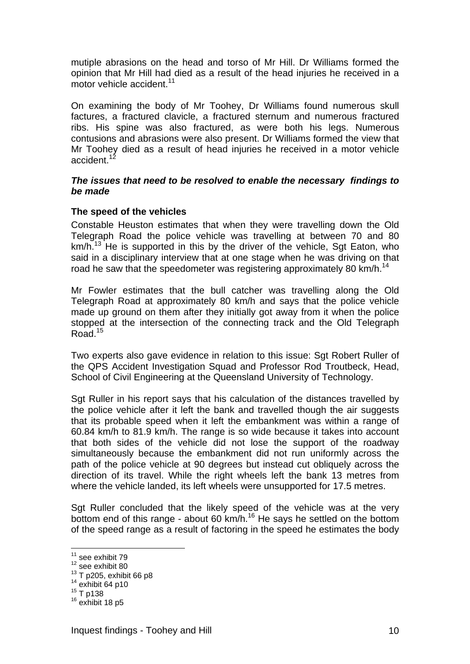mutiple abrasions on the head and torso of Mr Hill. Dr Williams formed the opinion that Mr Hill had died as a result of the head injuries he received in a motor vehicle accident.<sup>11</sup>

On examining the body of Mr Toohey, Dr Williams found numerous skull factures, a fractured clavicle, a fractured sternum and numerous fractured ribs. His spine was also fractured, as were both his legs. Numerous contusions and abrasions were also present. Dr Williams formed the view that Mr Toohey died as a result of head injuries he received in a motor vehicle accident.<sup>12</sup>

### *The issues that need to be resolved to enable the necessary findings to be made*

### **The speed of the vehicles**

Constable Heuston estimates that when they were travelling down the Old Telegraph Road the police vehicle was travelling at between 70 and 80  $km/h<sup>13</sup>$  He is supported in this by the driver of the vehicle, Sgt Eaton, who said in a disciplinary interview that at one stage when he was driving on that road he saw that the speedometer was registering approximately 80 km/h.<sup>14</sup>

Mr Fowler estimates that the bull catcher was travelling along the Old Telegraph Road at approximately 80 km/h and says that the police vehicle made up ground on them after they initially got away from it when the police stopped at the intersection of the connecting track and the Old Telegraph Road.<sup>15</sup>

Two experts also gave evidence in relation to this issue: Sgt Robert Ruller of the QPS Accident Investigation Squad and Professor Rod Troutbeck, Head, School of Civil Engineering at the Queensland University of Technology.

Sgt Ruller in his report says that his calculation of the distances travelled by the police vehicle after it left the bank and travelled though the air suggests that its probable speed when it left the embankment was within a range of 60.84 km/h to 81.9 km/h. The range is so wide because it takes into account that both sides of the vehicle did not lose the support of the roadway simultaneously because the embankment did not run uniformly across the path of the police vehicle at 90 degrees but instead cut obliquely across the direction of its travel. While the right wheels left the bank 13 metres from where the vehicle landed, its left wheels were unsupported for 17.5 metres.

Sgt Ruller concluded that the likely speed of the vehicle was at the very bottom end of this range - about 60 km/h.<sup>16</sup> He says he settled on the bottom of the speed range as a result of factoring in the speed he estimates the body

 $11$  see exhibit 79

 $12$  see exhibit 80

<sup>&</sup>lt;sup>13</sup> T p205, exhibit 66 p8<br>
<sup>14</sup> exhibit 64 p10<br>
<sup>15</sup> T p138<br>
<sup>16</sup> exhibit 18 p5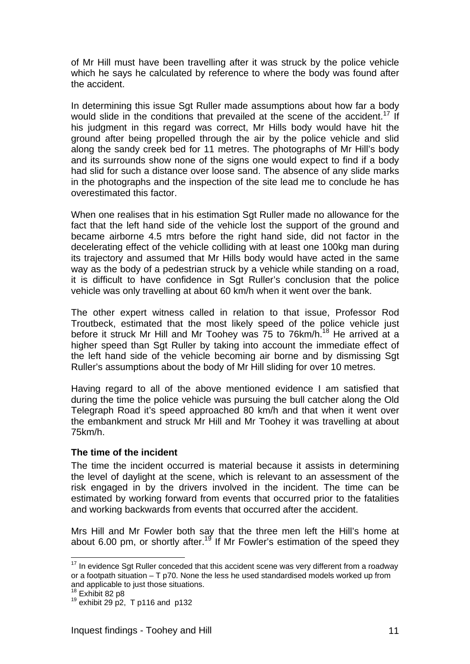of Mr Hill must have been travelling after it was struck by the police vehicle which he says he calculated by reference to where the body was found after the accident.

In determining this issue Sgt Ruller made assumptions about how far a body would slide in the conditions that prevailed at the scene of the accident.<sup>17</sup> If his judgment in this regard was correct, Mr Hills body would have hit the ground after being propelled through the air by the police vehicle and slid along the sandy creek bed for 11 metres. The photographs of Mr Hill's body and its surrounds show none of the signs one would expect to find if a body had slid for such a distance over loose sand. The absence of any slide marks in the photographs and the inspection of the site lead me to conclude he has overestimated this factor.

When one realises that in his estimation Sgt Ruller made no allowance for the fact that the left hand side of the vehicle lost the support of the ground and became airborne 4.5 mtrs before the right hand side, did not factor in the decelerating effect of the vehicle colliding with at least one 100kg man during its trajectory and assumed that Mr Hills body would have acted in the same way as the body of a pedestrian struck by a vehicle while standing on a road, it is difficult to have confidence in Sgt Ruller's conclusion that the police vehicle was only travelling at about 60 km/h when it went over the bank.

The other expert witness called in relation to that issue, Professor Rod Troutbeck, estimated that the most likely speed of the police vehicle just before it struck Mr Hill and Mr Toohey was 75 to 76km/h.<sup>18</sup> He arrived at a higher speed than Sgt Ruller by taking into account the immediate effect of the left hand side of the vehicle becoming air borne and by dismissing Sgt Ruller's assumptions about the body of Mr Hill sliding for over 10 metres.

Having regard to all of the above mentioned evidence I am satisfied that during the time the police vehicle was pursuing the bull catcher along the Old Telegraph Road it's speed approached 80 km/h and that when it went over the embankment and struck Mr Hill and Mr Toohey it was travelling at about 75km/h.

### **The time of the incident**

The time the incident occurred is material because it assists in determining the level of daylight at the scene, which is relevant to an assessment of the risk engaged in by the drivers involved in the incident. The time can be estimated by working forward from events that occurred prior to the fatalities and working backwards from events that occurred after the accident.

Mrs Hill and Mr Fowler both say that the three men left the Hill's home at about 6.00 pm, or shortly after.<sup>19</sup> If Mr Fowler's estimation of the speed they

 $17$  In evidence Sat Ruller conceded that this accident scene was very different from a roadway or a footpath situation – T p70. None the less he used standardised models worked up from and applicable to just those situations.<br> $18$  Exhibit 82 p8

 $19$  exhibit 29 p2, T p116 and p132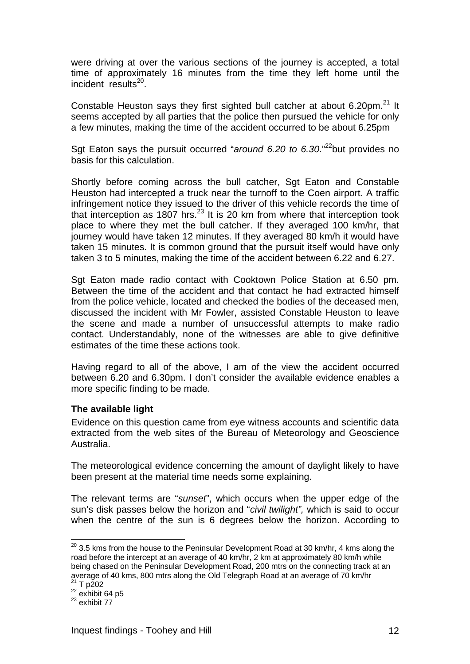were driving at over the various sections of the journey is accepted, a total time of approximately 16 minutes from the time they left home until the  $incident$  results<sup>20</sup>.

Constable Heuston says they first sighted bull catcher at about 6.20pm.<sup>21</sup> It seems accepted by all parties that the police then pursued the vehicle for only a few minutes, making the time of the accident occurred to be about 6.25pm

Sgt Eaton says the pursuit occurred "*around 6.20 to 6.30*."22but provides no basis for this calculation.

Shortly before coming across the bull catcher, Sgt Eaton and Constable Heuston had intercepted a truck near the turnoff to the Coen airport. A traffic infringement notice they issued to the driver of this vehicle records the time of that interception as 1807 hrs.<sup>23</sup> It is 20 km from where that interception took place to where they met the bull catcher. If they averaged 100 km/hr, that journey would have taken 12 minutes. If they averaged 80 km/h it would have taken 15 minutes. It is common ground that the pursuit itself would have only taken 3 to 5 minutes, making the time of the accident between 6.22 and 6.27.

Sgt Eaton made radio contact with Cooktown Police Station at 6.50 pm. Between the time of the accident and that contact he had extracted himself from the police vehicle, located and checked the bodies of the deceased men, discussed the incident with Mr Fowler, assisted Constable Heuston to leave the scene and made a number of unsuccessful attempts to make radio contact. Understandably, none of the witnesses are able to give definitive estimates of the time these actions took.

Having regard to all of the above, I am of the view the accident occurred between 6.20 and 6.30pm. I don't consider the available evidence enables a more specific finding to be made.

#### **The available light**

Evidence on this question came from eye witness accounts and scientific data extracted from the web sites of the Bureau of Meteorology and Geoscience Australia.

The meteorological evidence concerning the amount of daylight likely to have been present at the material time needs some explaining.

The relevant terms are "*sunset*", which occurs when the upper edge of the sun's disk passes below the horizon and "*civil twilight",* which is said to occur when the centre of the sun is 6 degrees below the horizon. According to

 $^{20}$  3.5 kms from the house to the Peninsular Development Road at 30 km/hr, 4 kms along the road before the intercept at an average of 40 km/hr, 2 km at approximately 80 km/h while being chased on the Peninsular Development Road, 200 mtrs on the connecting track at an average of 40 kms, 800 mtrs along the Old Telegraph Road at an average of 70 km/hr<br>
<sup>21</sup> T p202<br>
<sup>22</sup> exhibit 64 p5<br>
<sup>23</sup> exhibit 77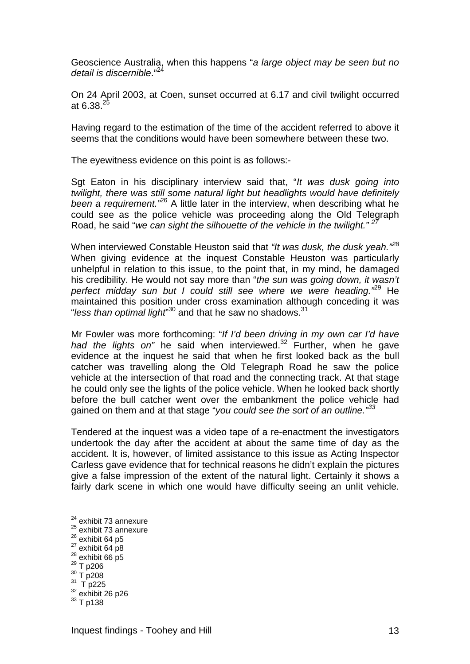Geoscience Australia, when this happens "*a large object may be seen but no detail is discernible*."<sup>24</sup>

On 24 April 2003, at Coen, sunset occurred at 6.17 and civil twilight occurred at 6.38. $^{25}$ 

Having regard to the estimation of the time of the accident referred to above it seems that the conditions would have been somewhere between these two.

The eyewitness evidence on this point is as follows:-

Sgt Eaton in his disciplinary interview said that, "*It was dusk going into twilight, there was still some natural light but headlights would have definitely been a requirement."*<sup>26</sup> A little later in the interview, when describing what he could see as the police vehicle was proceeding along the Old Telegraph Road, he said "*we can sight the silhouette of the vehicle in the twilight." 27*

When interviewed Constable Heuston said that *"It was dusk, the dusk yeah."<sup>28</sup>* When giving evidence at the inquest Constable Heuston was particularly unhelpful in relation to this issue, to the point that, in my mind, he damaged his credibility. He would not say more than "*the sun was going down, it wasn't perfect midday sun but I could still see where we were heading."*<sup>29</sup> He maintained this position under cross examination although conceding it was "*less than optimal light*" 30 and that he saw no shadows.31

Mr Fowler was more forthcoming: "*If I'd been driving in my own car I'd have*  had the lights on" he said when interviewed.<sup>32</sup> Further, when he gave evidence at the inquest he said that when he first looked back as the bull catcher was travelling along the Old Telegraph Road he saw the police vehicle at the intersection of that road and the connecting track. At that stage he could only see the lights of the police vehicle. When he looked back shortly before the bull catcher went over the embankment the police vehicle had gained on them and at that stage "*you could see the sort of an outline."<sup>33</sup>*

Tendered at the inquest was a video tape of a re-enactment the investigators undertook the day after the accident at about the same time of day as the accident. It is, however, of limited assistance to this issue as Acting Inspector Carless gave evidence that for technical reasons he didn't explain the pictures give a false impression of the extent of the natural light. Certainly it shows a fairly dark scene in which one would have difficulty seeing an unlit vehicle.

- <sup>24</sup> exhibit 73 annexure
- $^{25}$  exhibit 73 annexure<br> $^{26}$  exhibit 64 p5
- 
- 
- 
- 

- 
- 27 exhibit 64 p8<br>
<sup>28</sup> exhibit 66 p5<br>
<sup>39</sup> T p206<br>
<sup>31</sup> T p225<br>
<sup>32</sup> exhibit 26 p26<br>
<sup>33</sup> T p138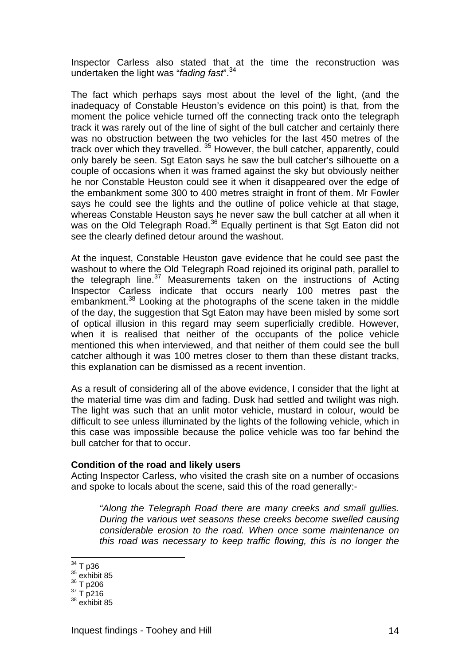Inspector Carless also stated that at the time the reconstruction was undertaken the light was "*fading fast*".34

The fact which perhaps says most about the level of the light, (and the inadequacy of Constable Heuston's evidence on this point) is that, from the moment the police vehicle turned off the connecting track onto the telegraph track it was rarely out of the line of sight of the bull catcher and certainly there was no obstruction between the two vehicles for the last 450 metres of the track over which they travelled.  $35$  However, the bull catcher, apparently, could only barely be seen. Sgt Eaton says he saw the bull catcher's silhouette on a couple of occasions when it was framed against the sky but obviously neither he nor Constable Heuston could see it when it disappeared over the edge of the embankment some 300 to 400 metres straight in front of them. Mr Fowler says he could see the lights and the outline of police vehicle at that stage, whereas Constable Heuston says he never saw the bull catcher at all when it was on the Old Telegraph Road.<sup>36</sup> Equally pertinent is that Sgt Eaton did not see the clearly defined detour around the washout.

At the inquest, Constable Heuston gave evidence that he could see past the washout to where the Old Telegraph Road rejoined its original path, parallel to the telegraph line.<sup>37</sup> Measurements taken on the instructions of Acting Inspector Carless indicate that occurs nearly 100 metres past the embankment.38 Looking at the photographs of the scene taken in the middle of the day, the suggestion that Sgt Eaton may have been misled by some sort of optical illusion in this regard may seem superficially credible. However, when it is realised that neither of the occupants of the police vehicle mentioned this when interviewed, and that neither of them could see the bull catcher although it was 100 metres closer to them than these distant tracks, this explanation can be dismissed as a recent invention.

As a result of considering all of the above evidence, I consider that the light at the material time was dim and fading. Dusk had settled and twilight was nigh. The light was such that an unlit motor vehicle, mustard in colour, would be difficult to see unless illuminated by the lights of the following vehicle, which in this case was impossible because the police vehicle was too far behind the bull catcher for that to occur.

#### **Condition of the road and likely users**

Acting Inspector Carless, who visited the crash site on a number of occasions and spoke to locals about the scene, said this of the road generally:-

*"Along the Telegraph Road there are many creeks and small gullies. During the various wet seasons these creeks become swelled causing considerable erosion to the road. When once some maintenance on this road was necessary to keep traffic flowing, this is no longer the* 

- 
- 

<sup>&</sup>lt;sup>34</sup> T p36

 $\frac{35}{36}$  exhibit 85<br> $\frac{36}{1}$  p206

 $37 \text{ T} \text{ p}216$ <br> $38 \text{ exhibit }85$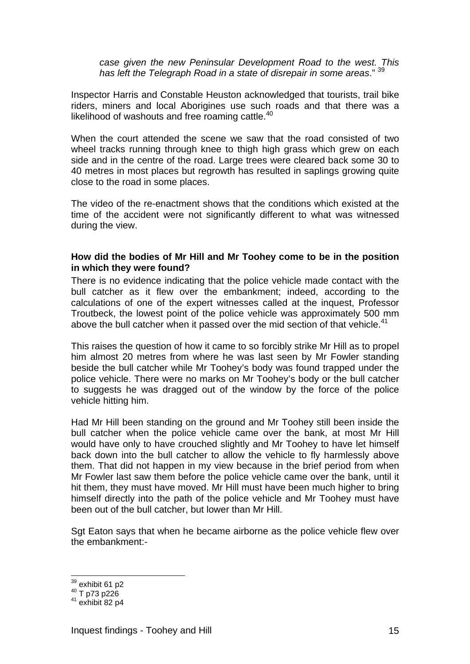*case given the new Peninsular Development Road to the west. This has left the Telegraph Road in a state of disrepair in some areas*." 39

Inspector Harris and Constable Heuston acknowledged that tourists, trail bike riders, miners and local Aborigines use such roads and that there was a likelihood of washouts and free roaming cattle.<sup>40</sup>

When the court attended the scene we saw that the road consisted of two wheel tracks running through knee to thigh high grass which grew on each side and in the centre of the road. Large trees were cleared back some 30 to 40 metres in most places but regrowth has resulted in saplings growing quite close to the road in some places.

The video of the re-enactment shows that the conditions which existed at the time of the accident were not significantly different to what was witnessed during the view.

### **How did the bodies of Mr Hill and Mr Toohey come to be in the position in which they were found?**

There is no evidence indicating that the police vehicle made contact with the bull catcher as it flew over the embankment; indeed, according to the calculations of one of the expert witnesses called at the inquest, Professor Troutbeck, the lowest point of the police vehicle was approximately 500 mm above the bull catcher when it passed over the mid section of that vehicle.<sup>41</sup>

This raises the question of how it came to so forcibly strike Mr Hill as to propel him almost 20 metres from where he was last seen by Mr Fowler standing beside the bull catcher while Mr Toohey's body was found trapped under the police vehicle. There were no marks on Mr Toohey's body or the bull catcher to suggests he was dragged out of the window by the force of the police vehicle hitting him.

Had Mr Hill been standing on the ground and Mr Toohey still been inside the bull catcher when the police vehicle came over the bank, at most Mr Hill would have only to have crouched slightly and Mr Toohey to have let himself back down into the bull catcher to allow the vehicle to fly harmlessly above them. That did not happen in my view because in the brief period from when Mr Fowler last saw them before the police vehicle came over the bank, until it hit them, they must have moved. Mr Hill must have been much higher to bring himself directly into the path of the police vehicle and Mr Toohey must have been out of the bull catcher, but lower than Mr Hill.

Sgt Eaton says that when he became airborne as the police vehicle flew over the embankment:-

 $39$  exhibit 61 p2

 $^{40}$  T p73 p226<br> $^{41}$  exhibit 82 p4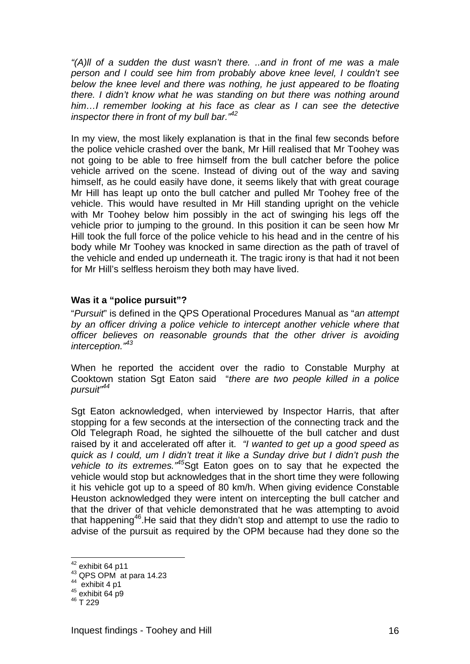*"(A)ll of a sudden the dust wasn't there. ..and in front of me was a male person and I could see him from probably above knee level, I couldn't see below the knee level and there was nothing, he just appeared to be floating there. I didn't know what he was standing on but there was nothing around him…I remember looking at his face as clear as I can see the detective inspector there in front of my bull bar."42*

In my view, the most likely explanation is that in the final few seconds before the police vehicle crashed over the bank, Mr Hill realised that Mr Toohey was not going to be able to free himself from the bull catcher before the police vehicle arrived on the scene. Instead of diving out of the way and saving himself, as he could easily have done, it seems likely that with great courage Mr Hill has leapt up onto the bull catcher and pulled Mr Toohey free of the vehicle. This would have resulted in Mr Hill standing upright on the vehicle with Mr Toohey below him possibly in the act of swinging his legs off the vehicle prior to jumping to the ground. In this position it can be seen how Mr Hill took the full force of the police vehicle to his head and in the centre of his body while Mr Toohey was knocked in same direction as the path of travel of the vehicle and ended up underneath it. The tragic irony is that had it not been for Mr Hill's selfless heroism they both may have lived.

### **Was it a "police pursuit"?**

"*Pursuit*" is defined in the QPS Operational Procedures Manual as "*an attempt by an officer driving a police vehicle to intercept another vehicle where that officer believes on reasonable grounds that the other driver is avoiding interception."43*

When he reported the accident over the radio to Constable Murphy at Cooktown station Sgt Eaton said "*there are two people killed in a police pursuit"44* 

Sgt Eaton acknowledged, when interviewed by Inspector Harris, that after stopping for a few seconds at the intersection of the connecting track and the Old Telegraph Road, he sighted the silhouette of the bull catcher and dust raised by it and accelerated off after it. *"I wanted to get up a good speed as quick as I could, um I didn't treat it like a Sunday drive but I didn't push the vehicle to its extremes."45*Sgt Eaton goes on to say that he expected the vehicle would stop but acknowledges that in the short time they were following it his vehicle got up to a speed of 80 km/h. When giving evidence Constable Heuston acknowledged they were intent on intercepting the bull catcher and that the driver of that vehicle demonstrated that he was attempting to avoid that happening<sup>46</sup>. He said that they didn't stop and attempt to use the radio to advise of the pursuit as required by the OPM because had they done so the

 $42$  exhibit 64 p11

<sup>43</sup> QPS OPM at para 14.23<br>  $^{44}$  exhibit 4 p1<br>  $^{45}$  exhibit 64 p9<br>  $^{46}$  T 229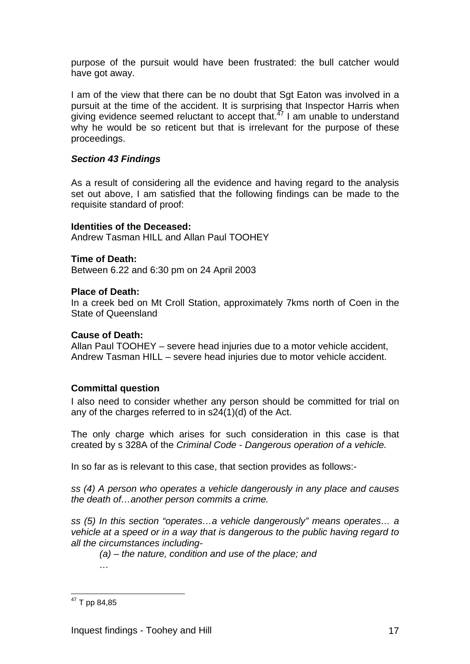purpose of the pursuit would have been frustrated: the bull catcher would have got away.

I am of the view that there can be no doubt that Sgt Eaton was involved in a pursuit at the time of the accident. It is surprising that Inspector Harris when giving evidence seemed reluctant to accept that. $47$  I am unable to understand why he would be so reticent but that is irrelevant for the purpose of these proceedings.

## *Section 43 Findings*

As a result of considering all the evidence and having regard to the analysis set out above, I am satisfied that the following findings can be made to the requisite standard of proof:

### **Identities of the Deceased:**

Andrew Tasman HILL and Allan Paul TOOHEY

### **Time of Death:**

Between 6.22 and 6:30 pm on 24 April 2003

### **Place of Death:**

In a creek bed on Mt Croll Station, approximately 7kms north of Coen in the State of Queensland

### **Cause of Death:**

Allan Paul TOOHEY – severe head injuries due to a motor vehicle accident, Andrew Tasman HILL – severe head injuries due to motor vehicle accident.

### **Committal question**

I also need to consider whether any person should be committed for trial on any of the charges referred to in s24(1)(d) of the Act.

The only charge which arises for such consideration in this case is that created by s 328A of the *Criminal Code* - *Dangerous operation of a vehicle.* 

In so far as is relevant to this case, that section provides as follows:-

*ss (4) A person who operates a vehicle dangerously in any place and causes the death of…another person commits a crime.* 

*ss (5) In this section "operates…a vehicle dangerously" means operates… a vehicle at a speed or in a way that is dangerous to the public having regard to all the circumstances including-* 

*(a) – the nature, condition and use of the place; and …* 

 $\overline{a}$ <sup>47</sup> T pp 84,85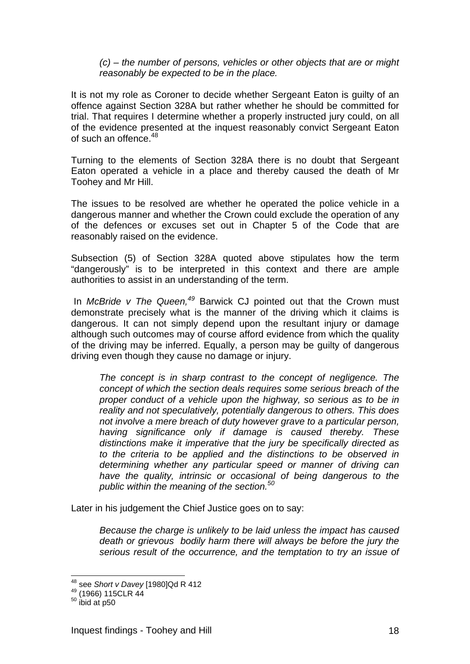*(c) – the number of persons, vehicles or other objects that are or might reasonably be expected to be in the place.* 

It is not my role as Coroner to decide whether Sergeant Eaton is guilty of an offence against Section 328A but rather whether he should be committed for trial. That requires I determine whether a properly instructed jury could, on all of the evidence presented at the inquest reasonably convict Sergeant Eaton of such an offence.<sup>48</sup>

Turning to the elements of Section 328A there is no doubt that Sergeant Eaton operated a vehicle in a place and thereby caused the death of Mr Toohey and Mr Hill.

The issues to be resolved are whether he operated the police vehicle in a dangerous manner and whether the Crown could exclude the operation of any of the defences or excuses set out in Chapter 5 of the Code that are reasonably raised on the evidence.

Subsection (5) of Section 328A quoted above stipulates how the term "dangerously" is to be interpreted in this context and there are ample authorities to assist in an understanding of the term.

 In *McBride v The Queen,<sup>49</sup>* Barwick CJ pointed out that the Crown must demonstrate precisely what is the manner of the driving which it claims is dangerous. It can not simply depend upon the resultant injury or damage although such outcomes may of course afford evidence from which the quality of the driving may be inferred. Equally, a person may be guilty of dangerous driving even though they cause no damage or injury.

*The concept is in sharp contrast to the concept of negligence. The concept of which the section deals requires some serious breach of the proper conduct of a vehicle upon the highway, so serious as to be in reality and not speculatively, potentially dangerous to others. This does not involve a mere breach of duty however grave to a particular person, having significance only if damage is caused thereby. These distinctions make it imperative that the jury be specifically directed as to the criteria to be applied and the distinctions to be observed in determining whether any particular speed or manner of driving can have the quality, intrinsic or occasional of being dangerous to the public within the meaning of the section.<sup>50</sup>*

Later in his judgement the Chief Justice goes on to say:

*Because the charge is unlikely to be laid unless the impact has caused death or grievous bodily harm there will always be before the jury the serious result of the occurrence, and the temptation to try an issue of* 

<sup>&</sup>lt;sup>48</sup> see *Short v Davey* [1980]Qd R 412<br><sup>49</sup> (1966) 115CLR 44<br><sup>50</sup> ibid at p50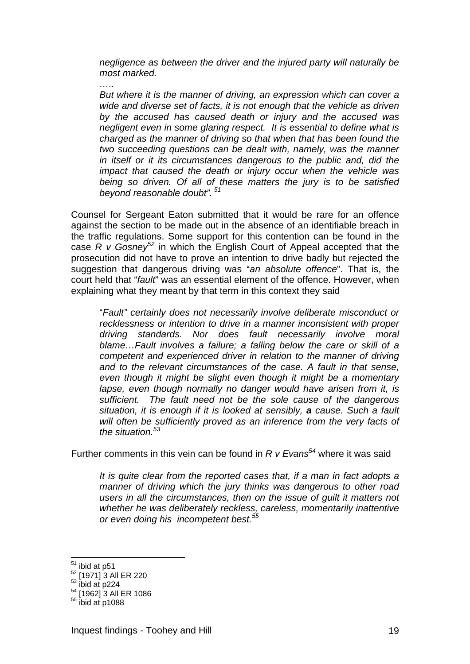*negligence as between the driver and the injured party will naturally be most marked.* 

*But where it is the manner of driving, an expression which can cover a wide and diverse set of facts, it is not enough that the vehicle as driven by the accused has caused death or injury and the accused was negligent even in some glaring respect. It is essential to define what is charged as the manner of driving so that when that has been found the two succeeding questions can be dealt with, namely, was the manner in itself or it its circumstances dangerous to the public and, did the impact that caused the death or injury occur when the vehicle was being so driven. Of all of these matters the jury is to be satisfied beyond reasonable doubt".<sup>51</sup>*

Counsel for Sergeant Eaton submitted that it would be rare for an offence against the section to be made out in the absence of an identifiable breach in the traffic regulations. Some support for this contention can be found in the case *R v Gosney<sup>52</sup>* in which the English Court of Appeal accepted that the prosecution did not have to prove an intention to drive badly but rejected the suggestion that dangerous driving was "*an absolute offence*". That is, the court held that "*fault*" was an essential element of the offence. However, when explaining what they meant by that term in this context they said

"*Fault" certainly does not necessarily involve deliberate misconduct or recklessness or intention to drive in a manner inconsistent with proper driving standards. Nor does fault necessarily involve moral blame…Fault involves a failure; a falling below the care or skill of a competent and experienced driver in relation to the manner of driving and to the relevant circumstances of the case. A fault in that sense, even though it might be slight even though it might be a momentary lapse, even though normally no danger would have arisen from it, is sufficient. The fault need not be the sole cause of the dangerous situation, it is enough if it is looked at sensibly, a cause. Such a fault will often be sufficiently proved as an inference from the very facts of the situation.<sup>53</sup>*

Further comments in this vein can be found in *R v Evans<sup>54</sup>* where it was said

*It is quite clear from the reported cases that, if a man in fact adopts a manner of driving which the jury thinks was dangerous to other road users in all the circumstances, then on the issue of guilt it matters not whether he was deliberately reckless, careless, momentarily inattentive or even doing his incompetent best.55* 

 $51$  ibid at p51

 $\frac{52}{53}$  [1971] 3 All ER 220<br> $\frac{53}{101}$  ibid at p224

<sup>54 [1962] 3</sup> All ER 1086

 $55$  ibid at p1088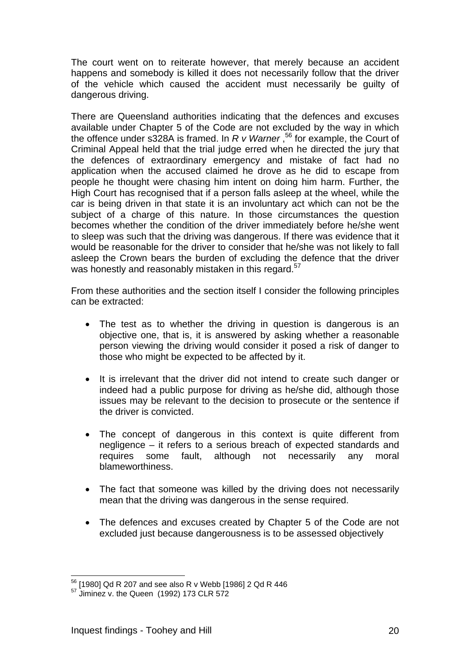The court went on to reiterate however, that merely because an accident happens and somebody is killed it does not necessarily follow that the driver of the vehicle which caused the accident must necessarily be guilty of dangerous driving.

There are Queensland authorities indicating that the defences and excuses available under Chapter 5 of the Code are not excluded by the way in which the offence under s328A is framed. In *R v Warner* ,56 for example, the Court of Criminal Appeal held that the trial judge erred when he directed the jury that the defences of extraordinary emergency and mistake of fact had no application when the accused claimed he drove as he did to escape from people he thought were chasing him intent on doing him harm. Further, the High Court has recognised that if a person falls asleep at the wheel, while the car is being driven in that state it is an involuntary act which can not be the subject of a charge of this nature. In those circumstances the question becomes whether the condition of the driver immediately before he/she went to sleep was such that the driving was dangerous. If there was evidence that it would be reasonable for the driver to consider that he/she was not likely to fall asleep the Crown bears the burden of excluding the defence that the driver was honestly and reasonably mistaken in this regard.<sup>57</sup>

From these authorities and the section itself I consider the following principles can be extracted:

- The test as to whether the driving in question is dangerous is an objective one, that is, it is answered by asking whether a reasonable person viewing the driving would consider it posed a risk of danger to those who might be expected to be affected by it.
- It is irrelevant that the driver did not intend to create such danger or indeed had a public purpose for driving as he/she did, although those issues may be relevant to the decision to prosecute or the sentence if the driver is convicted.
- The concept of dangerous in this context is quite different from negligence – it refers to a serious breach of expected standards and requires some fault, although not necessarily any moral blameworthiness.
- The fact that someone was killed by the driving does not necessarily mean that the driving was dangerous in the sense required.
- The defences and excuses created by Chapter 5 of the Code are not excluded just because dangerousness is to be assessed objectively

 $\overline{a}$ 56 [1980] Qd R 207 and see also R v Webb [1986] 2 Qd R 446

<sup>&</sup>lt;sup>57</sup> Jiminez v. the Queen (1992) 173 CLR 572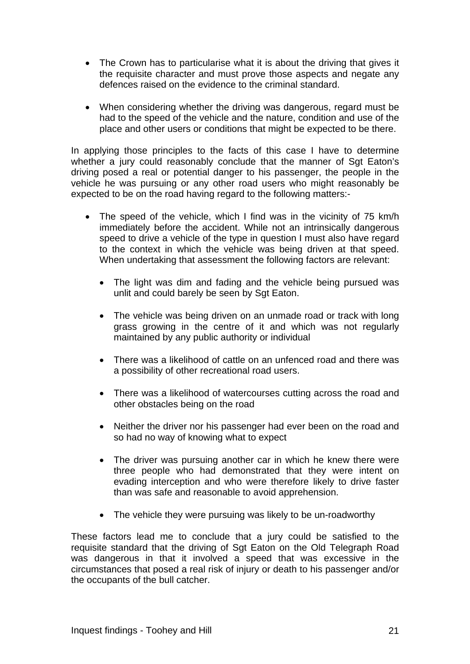- The Crown has to particularise what it is about the driving that gives it the requisite character and must prove those aspects and negate any defences raised on the evidence to the criminal standard.
- When considering whether the driving was dangerous, regard must be had to the speed of the vehicle and the nature, condition and use of the place and other users or conditions that might be expected to be there.

In applying those principles to the facts of this case I have to determine whether a jury could reasonably conclude that the manner of Sqt Eaton's driving posed a real or potential danger to his passenger, the people in the vehicle he was pursuing or any other road users who might reasonably be expected to be on the road having regard to the following matters:-

- The speed of the vehicle, which I find was in the vicinity of 75 km/h immediately before the accident. While not an intrinsically dangerous speed to drive a vehicle of the type in question I must also have regard to the context in which the vehicle was being driven at that speed. When undertaking that assessment the following factors are relevant:
	- The light was dim and fading and the vehicle being pursued was unlit and could barely be seen by Sgt Eaton.
	- The vehicle was being driven on an unmade road or track with long grass growing in the centre of it and which was not regularly maintained by any public authority or individual
	- There was a likelihood of cattle on an unfenced road and there was a possibility of other recreational road users.
	- There was a likelihood of watercourses cutting across the road and other obstacles being on the road
	- Neither the driver nor his passenger had ever been on the road and so had no way of knowing what to expect
	- The driver was pursuing another car in which he knew there were three people who had demonstrated that they were intent on evading interception and who were therefore likely to drive faster than was safe and reasonable to avoid apprehension.
	- The vehicle they were pursuing was likely to be un-roadworthy

These factors lead me to conclude that a jury could be satisfied to the requisite standard that the driving of Sgt Eaton on the Old Telegraph Road was dangerous in that it involved a speed that was excessive in the circumstances that posed a real risk of injury or death to his passenger and/or the occupants of the bull catcher.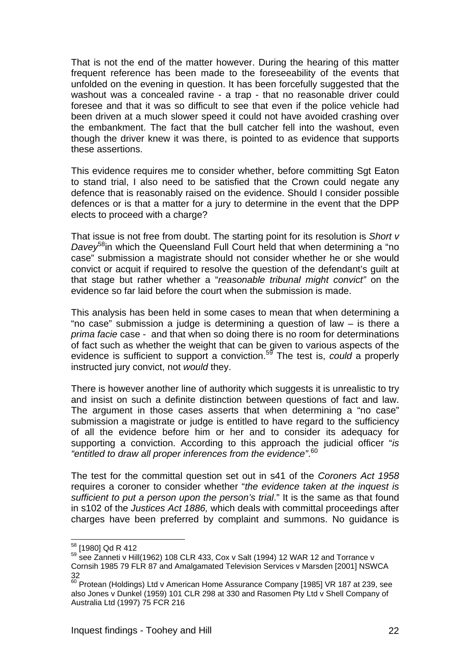That is not the end of the matter however. During the hearing of this matter frequent reference has been made to the foreseeability of the events that unfolded on the evening in question. It has been forcefully suggested that the washout was a concealed ravine - a trap - that no reasonable driver could foresee and that it was so difficult to see that even if the police vehicle had been driven at a much slower speed it could not have avoided crashing over the embankment. The fact that the bull catcher fell into the washout, even though the driver knew it was there, is pointed to as evidence that supports these assertions.

This evidence requires me to consider whether, before committing Sgt Eaton to stand trial, I also need to be satisfied that the Crown could negate any defence that is reasonably raised on the evidence. Should I consider possible defences or is that a matter for a jury to determine in the event that the DPP elects to proceed with a charge?

That issue is not free from doubt. The starting point for its resolution is *Short v Davey*58in which the Queensland Full Court held that when determining a "no case" submission a magistrate should not consider whether he or she would convict or acquit if required to resolve the question of the defendant's guilt at that stage but rather whether a "*reasonable tribunal might convict"* on the evidence so far laid before the court when the submission is made.

This analysis has been held in some cases to mean that when determining a "no case" submission a judge is determining a question of law – is there a *prima facie* case - and that when so doing there is no room for determinations of fact such as whether the weight that can be given to various aspects of the evidence is sufficient to support a conviction.59 The test is, *could* a properly instructed jury convict, not *would* they.

There is however another line of authority which suggests it is unrealistic to try and insist on such a definite distinction between questions of fact and law. The argument in those cases asserts that when determining a "no case" submission a magistrate or judge is entitled to have regard to the sufficiency of all the evidence before him or her and to consider its adequacy for supporting a conviction. According to this approach the judicial officer "*is "entitled to draw all proper inferences from the evidence"*. 60

The test for the committal question set out in s41 of the *Coroners Act 1958* requires a coroner to consider whether "*the evidence taken at the inquest is sufficient to put a person upon the person's trial*." It is the same as that found in s102 of the *Justices Act 1886,* which deals with committal proceedings after charges have been preferred by complaint and summons. No guidance is

<sup>&</sup>lt;sup>58</sup> [1980] Qd R 412

 $59$  see Zanneti v Hill(1962) 108 CLR 433, Cox v Salt (1994) 12 WAR 12 and Torrance v Cornsih 1985 79 FLR 87 and Amalgamated Television Services v Marsden [2001] NSWCA 32

 $^{60}$  Protean (Holdings) Ltd v American Home Assurance Company [1985] VR 187 at 239, see also Jones v Dunkel (1959) 101 CLR 298 at 330 and Rasomen Pty Ltd v Shell Company of Australia Ltd (1997) 75 FCR 216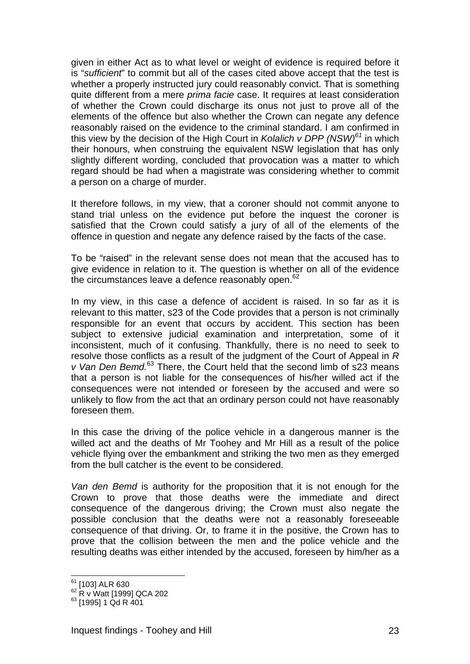given in either Act as to what level or weight of evidence is required before it is "*sufficient*" to commit but all of the cases cited above accept that the test is whether a properly instructed jury could reasonably convict. That is something quite different from a mere *prima facie* case. It requires at least consideration of whether the Crown could discharge its onus not just to prove all of the elements of the offence but also whether the Crown can negate any defence reasonably raised on the evidence to the criminal standard. I am confirmed in this view by the decision of the High Court in *Kolalich v DPP (NSW)<sup>61</sup>* in which their honours, when construing the equivalent NSW legislation that has only slightly different wording, concluded that provocation was a matter to which regard should be had when a magistrate was considering whether to commit a person on a charge of murder.

It therefore follows, in my view, that a coroner should not commit anyone to stand trial unless on the evidence put before the inquest the coroner is satisfied that the Crown could satisfy a jury of all of the elements of the offence in question and negate any defence raised by the facts of the case.

To be "raised" in the relevant sense does not mean that the accused has to give evidence in relation to it. The question is whether on all of the evidence the circumstances leave a defence reasonably open. $62$ 

In my view, in this case a defence of accident is raised. In so far as it is relevant to this matter, s23 of the Code provides that a person is not criminally responsible for an event that occurs by accident. This section has been subject to extensive judicial examination and interpretation, some of it inconsistent, much of it confusing. Thankfully, there is no need to seek to resolve those conflicts as a result of the judgment of the Court of Appeal in *R v Van Den Bemd.*63 There, the Court held that the second limb of s23 means that a person is not liable for the consequences of his/her willed act if the consequences were not intended or foreseen by the accused and were so unlikely to flow from the act that an ordinary person could not have reasonably foreseen them.

In this case the driving of the police vehicle in a dangerous manner is the willed act and the deaths of Mr Toohey and Mr Hill as a result of the police vehicle flying over the embankment and striking the two men as they emerged from the bull catcher is the event to be considered.

*Van den Bemd* is authority for the proposition that it is not enough for the Crown to prove that those deaths were the immediate and direct consequence of the dangerous driving; the Crown must also negate the possible conclusion that the deaths were not a reasonably foreseeable consequence of that driving. Or, to frame it in the positive, the Crown has to prove that the collision between the men and the police vehicle and the resulting deaths was either intended by the accused, foreseen by him/her as a

<sup>&</sup>lt;sup>61</sup> [103] ALR 630

 $62$  R v Watt [1999] QCA 202

 $^{63}$  [1995] 1 Qd R 401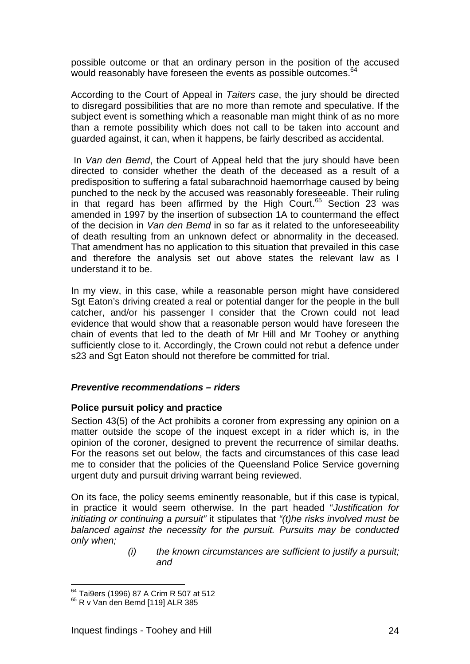possible outcome or that an ordinary person in the position of the accused would reasonably have foreseen the events as possible outcomes.<sup>64</sup>

According to the Court of Appeal in *Taiters case*, the jury should be directed to disregard possibilities that are no more than remote and speculative. If the subject event is something which a reasonable man might think of as no more than a remote possibility which does not call to be taken into account and guarded against, it can, when it happens, be fairly described as accidental.

 In *Van den Bemd*, the Court of Appeal held that the jury should have been directed to consider whether the death of the deceased as a result of a predisposition to suffering a fatal subarachnoid haemorrhage caused by being punched to the neck by the accused was reasonably foreseeable. Their ruling in that regard has been affirmed by the High Court. $65$  Section 23 was amended in 1997 by the insertion of subsection 1A to countermand the effect of the decision in *Van den Bemd* in so far as it related to the unforeseeability of death resulting from an unknown defect or abnormality in the deceased. That amendment has no application to this situation that prevailed in this case and therefore the analysis set out above states the relevant law as I understand it to be.

In my view, in this case, while a reasonable person might have considered Sgt Eaton's driving created a real or potential danger for the people in the bull catcher, and/or his passenger I consider that the Crown could not lead evidence that would show that a reasonable person would have foreseen the chain of events that led to the death of Mr Hill and Mr Toohey or anything sufficiently close to it. Accordingly, the Crown could not rebut a defence under s23 and Sgt Eaton should not therefore be committed for trial.

### *Preventive recommendations – riders*

### **Police pursuit policy and practice**

Section 43(5) of the Act prohibits a coroner from expressing any opinion on a matter outside the scope of the inquest except in a rider which is, in the opinion of the coroner, designed to prevent the recurrence of similar deaths. For the reasons set out below, the facts and circumstances of this case lead me to consider that the policies of the Queensland Police Service governing urgent duty and pursuit driving warrant being reviewed.

On its face, the policy seems eminently reasonable, but if this case is typical, in practice it would seem otherwise. In the part headed "*Justification for initiating or continuing a pursuit"* it stipulates that *"(t)he risks involved must be balanced against the necessity for the pursuit. Pursuits may be conducted only when;* 

*(i) the known circumstances are sufficient to justify a pursuit; and* 

 $\overline{a}$  $^{64}$  Tai9ers (1996) 87 A Crim R 507 at 512<br> $^{65}$  R v Van den Bemd [119] ALR 385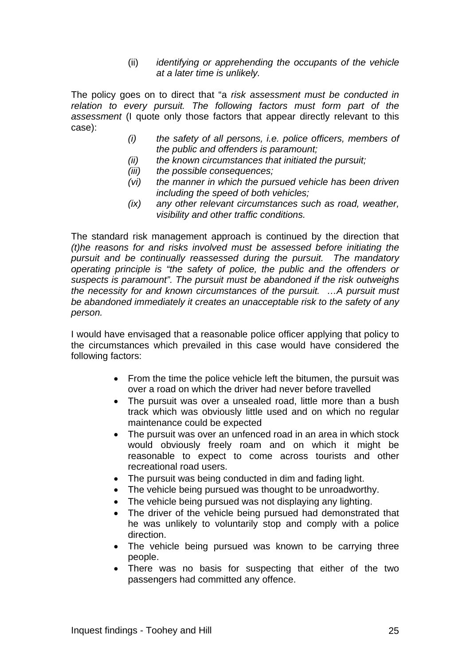(ii) *identifying or apprehending the occupants of the vehicle at a later time is unlikely.*

The policy goes on to direct that "a *risk assessment must be conducted in relation to every pursuit. The following factors must form part of the assessment* (I quote only those factors that appear directly relevant to this case):

- *(i) the safety of all persons, i.e. police officers, members of the public and offenders is paramount;*
- *(ii) the known circumstances that initiated the pursuit;*
- *(iii) the possible consequences;*
- *(vi) the manner in which the pursued vehicle has been driven including the speed of both vehicles;*
- *(ix) any other relevant circumstances such as road, weather, visibility and other traffic conditions.*

The standard risk management approach is continued by the direction that *(t)he reasons for and risks involved must be assessed before initiating the pursuit and be continually reassessed during the pursuit. The mandatory operating principle is "the safety of police, the public and the offenders or suspects is paramount". The pursuit must be abandoned if the risk outweighs the necessity for and known circumstances of the pursuit. …A pursuit must be abandoned immediately it creates an unacceptable risk to the safety of any person.* 

I would have envisaged that a reasonable police officer applying that policy to the circumstances which prevailed in this case would have considered the following factors:

- From the time the police vehicle left the bitumen, the pursuit was over a road on which the driver had never before travelled
- The pursuit was over a unsealed road, little more than a bush track which was obviously little used and on which no regular maintenance could be expected
- The pursuit was over an unfenced road in an area in which stock would obviously freely roam and on which it might be reasonable to expect to come across tourists and other recreational road users.
- The pursuit was being conducted in dim and fading light.
- The vehicle being pursued was thought to be unroadworthy.
- The vehicle being pursued was not displaying any lighting.
- The driver of the vehicle being pursued had demonstrated that he was unlikely to voluntarily stop and comply with a police direction.
- The vehicle being pursued was known to be carrying three people.
- There was no basis for suspecting that either of the two passengers had committed any offence.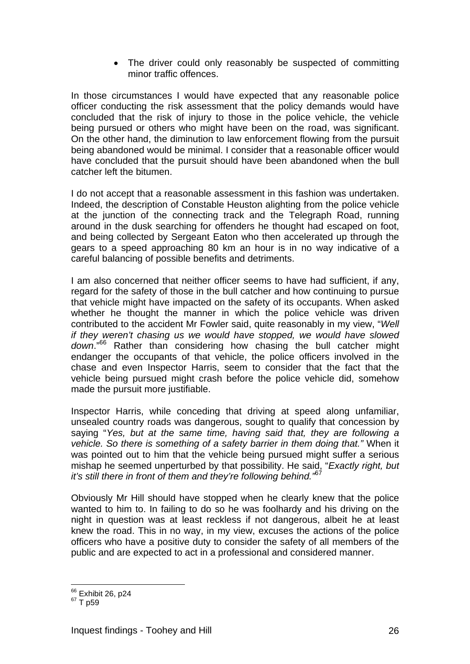• The driver could only reasonably be suspected of committing minor traffic offences.

In those circumstances I would have expected that any reasonable police officer conducting the risk assessment that the policy demands would have concluded that the risk of injury to those in the police vehicle, the vehicle being pursued or others who might have been on the road, was significant. On the other hand, the diminution to law enforcement flowing from the pursuit being abandoned would be minimal. I consider that a reasonable officer would have concluded that the pursuit should have been abandoned when the bull catcher left the bitumen.

I do not accept that a reasonable assessment in this fashion was undertaken. Indeed, the description of Constable Heuston alighting from the police vehicle at the junction of the connecting track and the Telegraph Road, running around in the dusk searching for offenders he thought had escaped on foot, and being collected by Sergeant Eaton who then accelerated up through the gears to a speed approaching 80 km an hour is in no way indicative of a careful balancing of possible benefits and detriments.

I am also concerned that neither officer seems to have had sufficient, if any, regard for the safety of those in the bull catcher and how continuing to pursue that vehicle might have impacted on the safety of its occupants. When asked whether he thought the manner in which the police vehicle was driven contributed to the accident Mr Fowler said, quite reasonably in my view, "*Well if they weren't chasing us we would have stopped, we would have slowed down*."66 Rather than considering how chasing the bull catcher might endanger the occupants of that vehicle, the police officers involved in the chase and even Inspector Harris, seem to consider that the fact that the vehicle being pursued might crash before the police vehicle did, somehow made the pursuit more justifiable.

Inspector Harris, while conceding that driving at speed along unfamiliar, unsealed country roads was dangerous, sought to qualify that concession by saying "*Yes, but at the same time, having said that, they are following a vehicle. So there is something of a safety barrier in them doing that."* When it was pointed out to him that the vehicle being pursued might suffer a serious mishap he seemed unperturbed by that possibility. He said, "*Exactly right, but it's still there in front of them and they're following behind."*<sup>67</sup>

Obviously Mr Hill should have stopped when he clearly knew that the police wanted to him to. In failing to do so he was foolhardy and his driving on the night in question was at least reckless if not dangerous, albeit he at least knew the road. This in no way, in my view, excuses the actions of the police officers who have a positive duty to consider the safety of all members of the public and are expected to act in a professional and considered manner.

<sup>&</sup>lt;sup>66</sup> Exhibit 26, p24<br><sup>67</sup> T p59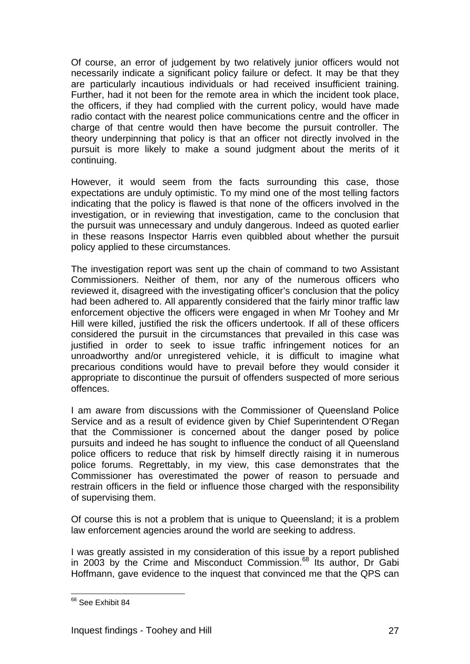Of course, an error of judgement by two relatively junior officers would not necessarily indicate a significant policy failure or defect. It may be that they are particularly incautious individuals or had received insufficient training. Further, had it not been for the remote area in which the incident took place, the officers, if they had complied with the current policy, would have made radio contact with the nearest police communications centre and the officer in charge of that centre would then have become the pursuit controller. The theory underpinning that policy is that an officer not directly involved in the pursuit is more likely to make a sound judgment about the merits of it continuing.

However, it would seem from the facts surrounding this case, those expectations are unduly optimistic. To my mind one of the most telling factors indicating that the policy is flawed is that none of the officers involved in the investigation, or in reviewing that investigation, came to the conclusion that the pursuit was unnecessary and unduly dangerous. Indeed as quoted earlier in these reasons Inspector Harris even quibbled about whether the pursuit policy applied to these circumstances.

The investigation report was sent up the chain of command to two Assistant Commissioners. Neither of them, nor any of the numerous officers who reviewed it, disagreed with the investigating officer's conclusion that the policy had been adhered to. All apparently considered that the fairly minor traffic law enforcement objective the officers were engaged in when Mr Toohey and Mr Hill were killed, justified the risk the officers undertook. If all of these officers considered the pursuit in the circumstances that prevailed in this case was justified in order to seek to issue traffic infringement notices for an unroadworthy and/or unregistered vehicle, it is difficult to imagine what precarious conditions would have to prevail before they would consider it appropriate to discontinue the pursuit of offenders suspected of more serious offences.

I am aware from discussions with the Commissioner of Queensland Police Service and as a result of evidence given by Chief Superintendent O'Regan that the Commissioner is concerned about the danger posed by police pursuits and indeed he has sought to influence the conduct of all Queensland police officers to reduce that risk by himself directly raising it in numerous police forums. Regrettably, in my view, this case demonstrates that the Commissioner has overestimated the power of reason to persuade and restrain officers in the field or influence those charged with the responsibility of supervising them.

Of course this is not a problem that is unique to Queensland; it is a problem law enforcement agencies around the world are seeking to address.

I was greatly assisted in my consideration of this issue by a report published in 2003 by the Crime and Misconduct Commission.<sup>68</sup> Its author, Dr Gabi Hoffmann, gave evidence to the inquest that convinced me that the QPS can

 $\overline{a}$ <sup>68</sup> See Exhibit 84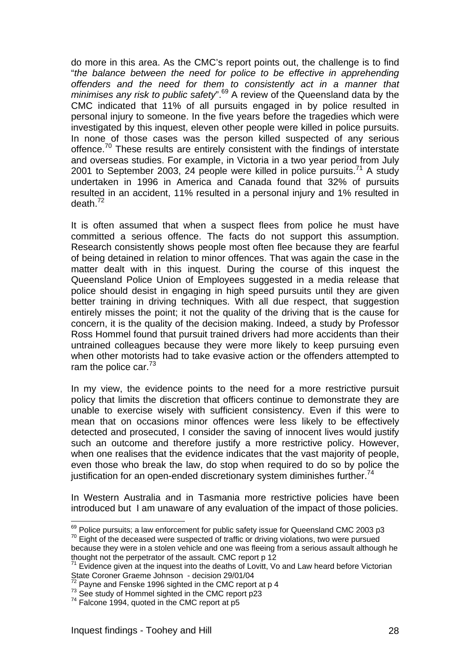do more in this area. As the CMC's report points out, the challenge is to find "*the balance between the need for police to be effective in apprehending offenders and the need for them to consistently act in a manner that minimises any risk to public safety*".69 A review of the Queensland data by the CMC indicated that 11% of all pursuits engaged in by police resulted in personal injury to someone. In the five years before the tragedies which were investigated by this inquest, eleven other people were killed in police pursuits. In none of those cases was the person killed suspected of any serious offence.<sup>70</sup> These results are entirely consistent with the findings of interstate and overseas studies. For example, in Victoria in a two year period from July 2001 to September 2003, 24 people were killed in police pursuits.<sup>71</sup> A study undertaken in 1996 in America and Canada found that 32% of pursuits resulted in an accident, 11% resulted in a personal injury and 1% resulted in  $death.<sup>72</sup>$ 

It is often assumed that when a suspect flees from police he must have committed a serious offence. The facts do not support this assumption. Research consistently shows people most often flee because they are fearful of being detained in relation to minor offences. That was again the case in the matter dealt with in this inquest. During the course of this inquest the Queensland Police Union of Employees suggested in a media release that police should desist in engaging in high speed pursuits until they are given better training in driving techniques. With all due respect, that suggestion entirely misses the point; it not the quality of the driving that is the cause for concern, it is the quality of the decision making. Indeed, a study by Professor Ross Hommel found that pursuit trained drivers had more accidents than their untrained colleagues because they were more likely to keep pursuing even when other motorists had to take evasive action or the offenders attempted to ram the police car. $73$ 

In my view, the evidence points to the need for a more restrictive pursuit policy that limits the discretion that officers continue to demonstrate they are unable to exercise wisely with sufficient consistency. Even if this were to mean that on occasions minor offences were less likely to be effectively detected and prosecuted, I consider the saving of innocent lives would justify such an outcome and therefore justify a more restrictive policy. However, when one realises that the evidence indicates that the vast majority of people, even those who break the law, do stop when required to do so by police the justification for an open-ended discretionary system diminishes further.<sup>74</sup>

In Western Australia and in Tasmania more restrictive policies have been introduced but I am unaware of any evaluation of the impact of those policies.

 $^{69}$  Police pursuits; a law enforcement for public safety issue for Queensland CMC 2003 p3  $^{70}$  Eight of the deceased were suspected of traffic or driving violations, two were pursued

because they were in a stolen vehicle and one was fleeing from a serious assault although he thought not the perpetrator of the assault. CMC report p 12

 $71$  Evidence given at the inquest into the deaths of Lovitt, Vo and Law heard before Victorian State Coroner Graeme Johnson - decision 29/01/04<br><sup>72</sup> Pavne and Fenske 1996 sighted in the CMC report at p 4

 $^{73}$  See study of Hommel sighted in the CMC report p23  $^{74}$  Falcone 1994, quoted in the CMC report at p5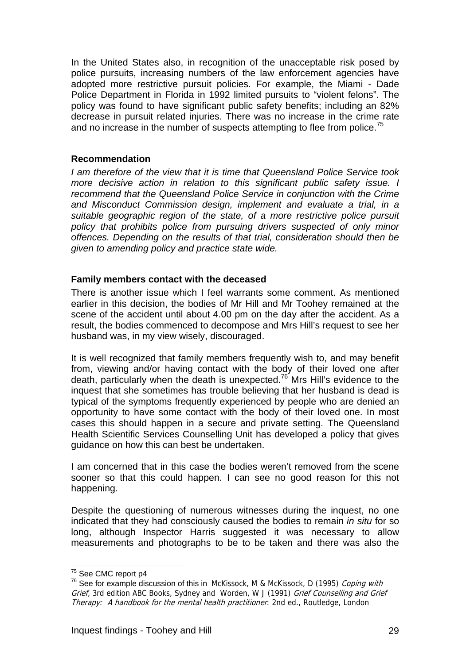In the United States also, in recognition of the unacceptable risk posed by police pursuits, increasing numbers of the law enforcement agencies have adopted more restrictive pursuit policies. For example, the Miami - Dade Police Department in Florida in 1992 limited pursuits to "violent felons". The policy was found to have significant public safety benefits; including an 82% decrease in pursuit related injuries. There was no increase in the crime rate and no increase in the number of suspects attempting to flee from police.<sup>75</sup>

### **Recommendation**

*I am therefore of the view that it is time that Queensland Police Service took more decisive action in relation to this significant public safety issue. I recommend that the Queensland Police Service in conjunction with the Crime and Misconduct Commission design, implement and evaluate a trial, in a suitable geographic region of the state, of a more restrictive police pursuit policy that prohibits police from pursuing drivers suspected of only minor offences. Depending on the results of that trial, consideration should then be given to amending policy and practice state wide.* 

### **Family members contact with the deceased**

There is another issue which I feel warrants some comment. As mentioned earlier in this decision, the bodies of Mr Hill and Mr Toohey remained at the scene of the accident until about 4.00 pm on the day after the accident. As a result, the bodies commenced to decompose and Mrs Hill's request to see her husband was, in my view wisely, discouraged.

It is well recognized that family members frequently wish to, and may benefit from, viewing and/or having contact with the body of their loved one after death, particularly when the death is unexpected.76 Mrs Hill's evidence to the inquest that she sometimes has trouble believing that her husband is dead is typical of the symptoms frequently experienced by people who are denied an opportunity to have some contact with the body of their loved one. In most cases this should happen in a secure and private setting. The Queensland Health Scientific Services Counselling Unit has developed a policy that gives guidance on how this can best be undertaken.

I am concerned that in this case the bodies weren't removed from the scene sooner so that this could happen. I can see no good reason for this not happening.

Despite the questioning of numerous witnesses during the inquest, no one indicated that they had consciously caused the bodies to remain *in situ* for so long, although Inspector Harris suggested it was necessary to allow measurements and photographs to be to be taken and there was also the

<sup>&</sup>lt;sup>75</sup> See CMC report p4

<sup>&</sup>lt;sup>76</sup> See for example discussion of this in McKissock, M & McKissock, D (1995) Coping with Grief, 3rd edition ABC Books, Sydney and Worden, W J (1991) Grief Counselling and Grief Therapy: A handbook for the mental health practitioner: 2nd ed., Routledge, London